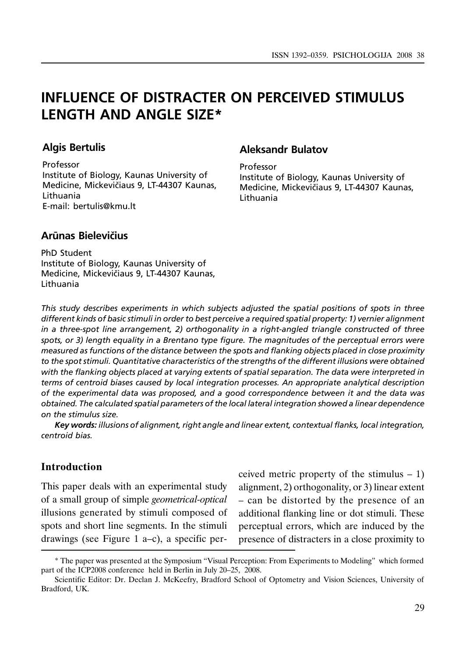# INFLUENCE OF DISTRACTER ON PERCEIVED STIMULUS LENGTH AND ANGLE SIZE\*

# Algis Bertulis

Professor Institute of Biology, Kaunas University of Medicine, Mickevičiaus 9, LT-44307 Kaunas, Lithuania E-mail: bertulis@kmu.lt

# Aleksandr Bulatov

Professor Institute of Biology, Kaunas University of Medicine, Mickevičiaus 9, LT-44307 Kaunas, Lithuania

# Arūnas Bielevičius

PhD Student Institute of Biology, Kaunas University of Medicine, Mickevičiaus 9, LT-44307 Kaunas, Lithuania

This study describes experiments in which subjects adjusted the spatial positions of spots in three different kinds of basic stimuli in order to best perceive a required spatial property: 1) vernier alignment in a three-spot line arrangement, 2) orthogonality in a right-angled triangle constructed of three spots, or 3) length equality in a Brentano type figure. The magnitudes of the perceptual errors were measured as functions of the distance between the spots and flanking objects placed in close proximity to the spot stimuli. Quantitative characteristics of the strengths of the different illusions were obtained with the flanking objects placed at varying extents of spatial separation. The data were interpreted in terms of centroid biases caused by local integration processes. An appropriate analytical description of the experimental data was proposed, and a good correspondence between it and the data was obtained. The calculated spatial parameters of the local lateral integration showed a linear dependence on the stimulus size.

Key words: illusions of alignment, right angle and linear extent, contextual flanks, local integration, centroid bias.

# Introduction

This paper deals with an experimental study of a small group of simple geometrical-optical illusions generated by stimuli composed of spots and short line segments. In the stimuli drawings (see Figure 1 a–c), a specific perceived metric property of the stimulus – 1) alignment, 2) orthogonality, or 3) linear extent – can be distorted by the presence of an additional flanking line or dot stimuli. These perceptual errors, which are induced by the presence of distracters in a close proximity to

<sup>\*</sup> The paper was presented at the Symposium "Visual Perception: From Experiments to Modeling" which formed part of the ICP2008 conference held in Berlin in July 20–25, 2008.

Scientific Editor: Dr. Declan J. McKeefry, Bradford School of Optometry and Vision Sciences, University of Bradford, UK.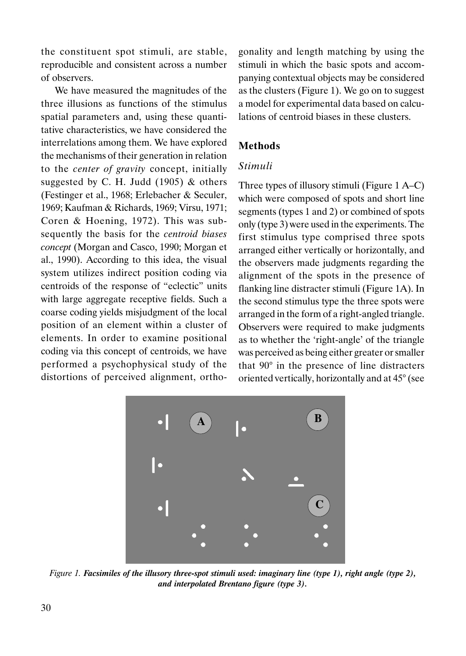the constituent spot stimuli, are stable, reproducible and consistent across a number of observers.

We have measured the magnitudes of the three illusions as functions of the stimulus spatial parameters and, using these quantitative characteristics, we have considered the interrelations among them. We have explored the mechanisms of their generation in relation to the center of gravity concept, initially suggested by C. H. Judd  $(1905)$  & others (Festinger et al., 1968; Erlebacher & Seculer, 1969; Kaufman & Richards, 1969; Virsu, 1971; Coren & Hoening, 1972). This was subsequently the basis for the centroid biases concept (Morgan and Casco, 1990; Morgan et al., 1990). According to this idea, the visual system utilizes indirect position coding via centroids of the response of "eclectic" units with large aggregate receptive fields. Such a coarse coding yields misjudgment of the local position of an element within a cluster of elements. In order to examine positional coding via this concept of centroids, we have performed a psychophysical study of the distortions of perceived alignment, ortho-

gonality and length matching by using the stimuli in which the basic spots and accompanying contextual objects may be considered as the clusters (Figure 1). We go on to suggest a model for experimental data based on calculations of centroid biases in these clusters.

# Methods

#### Stimuli

Three types of illusory stimuli (Figure 1 A–C) which were composed of spots and short line segments (types 1 and 2) or combined of spots only (type 3) were used in the experiments. The first stimulus type comprised three spots arranged either vertically or horizontally, and the observers made judgments regarding the alignment of the spots in the presence of flanking line distracter stimuli (Figure 1A). In the second stimulus type the three spots were arranged in the form of a right-angled triangle. Observers were required to make judgments as to whether the 'right-angle' of the triangle was perceived as being either greater or smaller that 90° in the presence of line distracters oriented vertically, horizontally and at 45° (see



Figure 1. Facsimiles of the illusory three-spot stimuli used: imaginary line (type 1), right angle (type 2), and interpolated Brentano figure (type 3).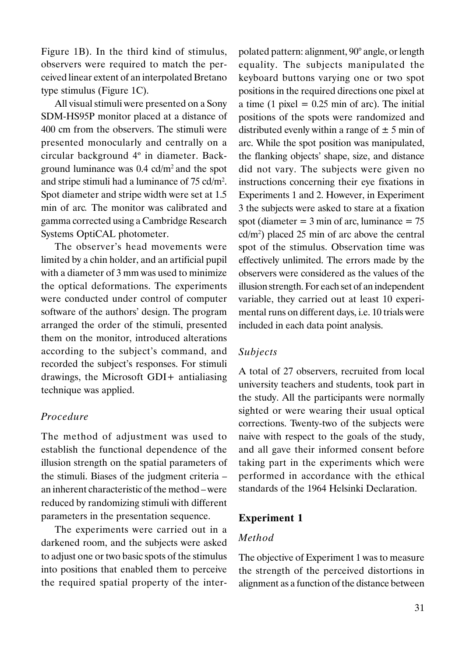Figure 1B). In the third kind of stimulus, observers were required to match the perceived linear extent of an interpolated Bretano type stimulus (Figure 1C).

All visual stimuli were presented on a Sony SDM-HS95P monitor placed at a distance of 400 cm from the observers. The stimuli were presented monocularly and centrally on a circular background 4º in diameter. Background luminance was 0.4 cd/m<sup>2</sup>and the spot and stripe stimuli had a luminance of 75 cd/m<sup>2</sup> . Spot diameter and stripe width were set at 1.5 min of arc. The monitor was calibrated and gamma corrected using a Cambridge Research Systems OptiCAL photometer.

The observer's head movements were limited by a chin holder, and an artificial pupil with a diameter of 3 mm was used to minimize the optical deformations. The experiments were conducted under control of computer software of the authors' design. The program arranged the order of the stimuli, presented them on the monitor, introduced alterations according to the subject's command, and recorded the subject's responses. For stimuli drawings, the Microsoft GDI+ antialiasing technique was applied.

# Procedure

The method of adjustment was used to establish the functional dependence of the illusion strength on the spatial parameters of the stimuli. Biases of the judgment criteria – an inherent characteristic of the method – were reduced by randomizing stimuli with different parameters in the presentation sequence.

The experiments were carried out in a darkened room, and the subjects were asked to adjust one or two basic spots of the stimulus into positions that enabled them to perceive the required spatial property of the inter-

polated pattern: alignment, 90° angle, or length equality. The subjects manipulated the keyboard buttons varying one or two spot positions in the required directions one pixel at a time (1 pixel  $= 0.25$  min of arc). The initial positions of the spots were randomized and distributed evenly within a range of  $\pm$  5 min of arc. While the spot position was manipulated, the flanking objects' shape, size, and distance did not vary. The subjects were given no instructions concerning their eye fixations in Experiments 1 and 2. However, in Experiment 3 the subjects were asked to stare at a fixation spot (diameter  $=$  3 min of arc, luminance  $=$  75 cd/m<sup>2</sup> ) placed 25 min of arc above the central spot of the stimulus. Observation time was effectively unlimited. The errors made by the observers were considered as the values of the illusion strength. For each set of an independent variable, they carried out at least 10 experimental runs on different days, i.e. 10 trials were included in each data point analysis.

# Subjects

A total of 27 observers, recruited from local university teachers and students, took part in the study. All the participants were normally sighted or were wearing their usual optical corrections. Twenty-two of the subjects were naive with respect to the goals of the study, and all gave their informed consent before taking part in the experiments which were performed in accordance with the ethical standards of the 1964 Helsinki Declaration.

### Experiment 1

### Method

The objective of Experiment 1 was to measure the strength of the perceived distortions in alignment as a function of the distance between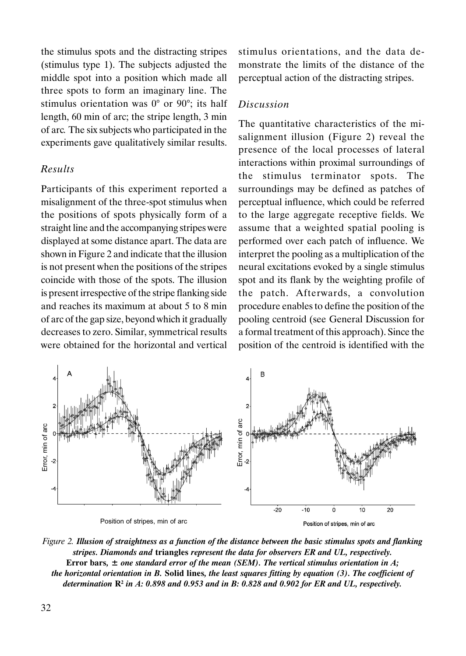the stimulus spots and the distracting stripes (stimulus type 1). The subjects adjusted the middle spot into a position which made all three spots to form an imaginary line. The stimulus orientation was 0° or 90°; its half length, 60 min of arc; the stripe length, 3 min of arc. The six subjects who participated in the experiments gave qualitatively similar results.

# Results

Participants of this experiment reported a misalignment of the three-spot stimulus when the positions of spots physically form of a straight line and the accompanying stripes were displayed at some distance apart. The data are shown in Figure 2 and indicate that the illusion is not present when the positions of the stripes coincide with those of the spots. The illusion is present irrespective of the stripe flanking side and reaches its maximum at about 5 to 8 min of arc of the gap size, beyond which it gradually decreases to zero. Similar, symmetrical results were obtained for the horizontal and vertical stimulus orientations, and the data demonstrate the limits of the distance of the perceptual action of the distracting stripes.

#### Discussion

The quantitative characteristics of the misalignment illusion (Figure 2) reveal the presence of the local processes of lateral interactions within proximal surroundings of the stimulus terminator spots. The surroundings may be defined as patches of perceptual influence, which could be referred to the large aggregate receptive fields. We assume that a weighted spatial pooling is performed over each patch of influence. We interpret the pooling as a multiplication of the neural excitations evoked by a single stimulus spot and its flank by the weighting profile of the patch. Afterwards, a convolution procedure enables to define the position of the pooling centroid (see General Discussion for a formal treatment of this approach). Since the position of the centroid is identified with the



Figure 2. Illusion of straightness as a function of the distance between the basic stimulus spots and flanking stripes. Diamonds and triangles represent the data for observers ER and UL, respectively. Error bars,  $\pm$  one standard error of the mean (SEM). The vertical stimulus orientation in A; the horizontal orientation in B. Solid lines, the least squares fitting by equation (3). The coefficient of determination  $\mathbf{R}^2$  in A: 0.898 and 0.953 and in B: 0.828 and 0.902 for ER and UL, respectively.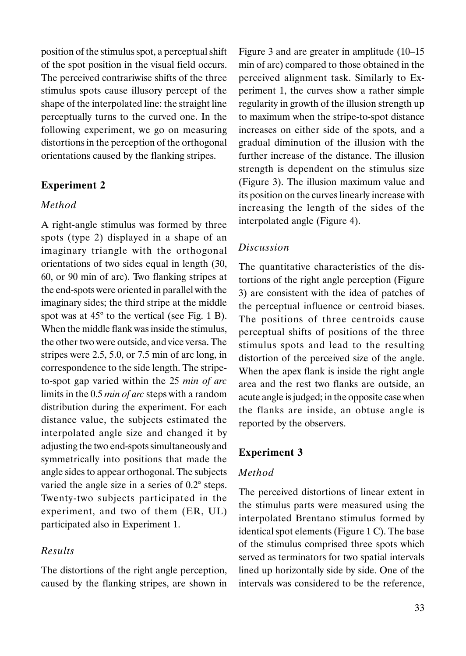position of the stimulus spot, a perceptual shift of the spot position in the visual field occurs. The perceived contrariwise shifts of the three stimulus spots cause illusory percept of the shape of the interpolated line: the straight line perceptually turns to the curved one. In the following experiment, we go on measuring distortions in the perception of the orthogonal orientations caused by the flanking stripes.

# Experiment 2

#### Method

A right-angle stimulus was formed by three spots (type 2) displayed in a shape of an imaginary triangle with the orthogonal orientations of two sides equal in length (30, 60, or 90 min of arc). Two flanking stripes at the end-spots were oriented in parallel with the imaginary sides; the third stripe at the middle spot was at 45° to the vertical (see Fig. 1 B). When the middle flank was inside the stimulus, the other two were outside, and vice versa. The stripes were 2.5, 5.0, or 7.5 min of arc long, in correspondence to the side length. The stripeto-spot gap varied within the 25 min of arc limits in the 0.5 min of arc steps with a random distribution during the experiment. For each distance value, the subjects estimated the interpolated angle size and changed it by adjusting the two end-spots simultaneously and symmetrically into positions that made the angle sides to appear orthogonal. The subjects varied the angle size in a series of 0.2° steps. Twenty-two subjects participated in the experiment, and two of them (ER, UL) participated also in Experiment 1.

# Results

The distortions of the right angle perception, caused by the flanking stripes, are shown in

Figure 3 and are greater in amplitude (10–15 min of arc) compared to those obtained in the perceived alignment task. Similarly to Experiment 1, the curves show a rather simple regularity in growth of the illusion strength up to maximum when the stripe-to-spot distance increases on either side of the spots, and a gradual diminution of the illusion with the further increase of the distance. The illusion strength is dependent on the stimulus size (Figure 3). The illusion maximum value and its position on the curves linearly increase with increasing the length of the sides of the interpolated angle (Figure 4).

#### Discussion

The quantitative characteristics of the distortions of the right angle perception (Figure 3) are consistent with the idea of patches of the perceptual influence or centroid biases. The positions of three centroids cause perceptual shifts of positions of the three stimulus spots and lead to the resulting distortion of the perceived size of the angle. When the apex flank is inside the right angle area and the rest two flanks are outside, an acute angle is judged; in the opposite case when the flanks are inside, an obtuse angle is reported by the observers.

# Experiment 3

# Method

The perceived distortions of linear extent in the stimulus parts were measured using the interpolated Brentano stimulus formed by identical spot elements (Figure 1 C). The base of the stimulus comprised three spots which served as terminators for two spatial intervals lined up horizontally side by side. One of the intervals was considered to be the reference,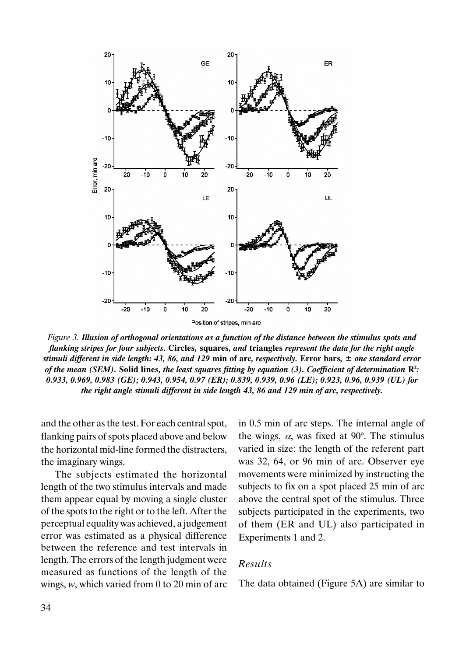

Figure 3. Illusion of orthogonal orientations as a function of the distance between the stimulus spots and flanking stripes for four subjects. Circles, squares, and triangles represent the data for the right angle stimuli different in side length: 43, 86, and 129 min of arc, respectively. Error bars,  $\pm$  one standard error of the mean (SEM). Solid lines, the least squares fitting by equation (3). Coefficient of determination  $\mathbb{R}^2$ : 0.933, 0.969, 0.983 (GE); 0.943, 0.954, 0.97 (ER); 0.839, 0.939, 0.96 (LE); 0.923, 0.96, 0.939 (UL) for the right angle stimuli different in side length 43, 86 and 129 min of arc, respectively.

and the other as the test. For each central spot, flanking pairs of spots placed above and below the horizontal mid-line formed the distracters, the imaginary wings.

The subjects estimated the horizontal length of the two stimulus intervals and made them appear equal by moving a single cluster of the spots to the right or to the left. After the perceptual equality was achieved, a judgement error was estimated as a physical difference between the reference and test intervals in length. The errors of the length judgment were measured as functions of the length of the wings,  $w$ , which varied from 0 to 20 min of arc

in 0.5 min of arc steps. The internal angle of the wings,  $\alpha$ , was fixed at 90 $^{\circ}$ . The stimulus varied in size: the length of the referent part was 32, 64, or 96 min of arc. Observer eye movements were minimized by instructing the subjects to fix on a spot placed 25 min of arc above the central spot of the stimulus. Three subjects participated in the experiments, two of them (ER and UL) also participated in Experiments 1 and 2.

# Results

The data obtained (Figure 5A) are similar to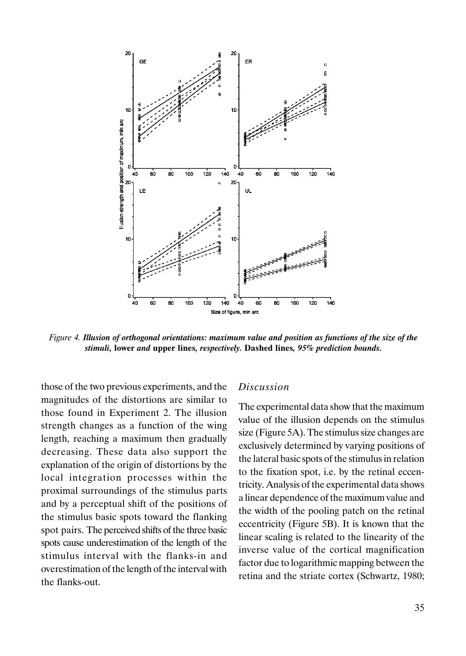

Figure 4. Illusion of orthogonal orientations: maximum value and position as functions of the size of the stimuli, lower and upper lines, respectively. Dashed lines, 95% prediction bounds.

those of the two previous experiments, and the magnitudes of the distortions are similar to those found in Experiment 2. The illusion strength changes as a function of the wing length, reaching a maximum then gradually decreasing. These data also support the explanation of the origin of distortions by the local integration processes within the proximal surroundings of the stimulus parts and by a perceptual shift of the positions of the stimulus basic spots toward the flanking spot pairs. The perceived shifts of the three basic spots cause underestimation of the length of the stimulus interval with the flanks-in and overestimation of the length of the interval with the flanks-out.

### Discussion

The experimental data show that the maximum value of the illusion depends on the stimulus size (Figure 5A). The stimulus size changes are exclusively determined by varying positions of the lateral basic spots of the stimulus in relation to the fixation spot, i.e. by the retinal eccentricity. Analysis of the experimental data shows a linear dependence of the maximum value and the width of the pooling patch on the retinal eccentricity (Figure 5B). It is known that the linear scaling is related to the linearity of the inverse value of the cortical magnification factor due to logarithmic mapping between the retina and the striate cortex (Schwartz, 1980;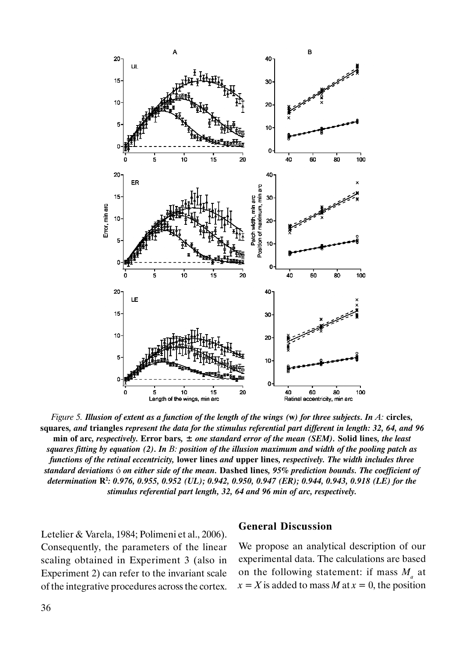

Figure 5. Illusion of extent as a function of the length of the wings  $(w)$  for three subjects. In A: circles, squares, and triangles represent the data for the stimulus referential part different in length: 32, 64, and 96 min of arc, respectively. Error bars,  $\pm$  one standard error of the mean (SEM). Solid lines, the least squares fitting by equation (2). In B: position of the illusion maximum and width of the pooling patch as functions of the retinal eccentricity, lower lines and upper lines, respectively. The width includes three standard deviations ó on either side of the mean. Dashed lines, 95% prediction bounds. The coefficient of determination R<sup>2</sup> : 0.976, 0.955, 0.952 (UL); 0.942, 0.950, 0.947 (ER); 0.944, 0.943, 0.918 (LE) for the stimulus referential part length, 32, 64 and 96 min of arc, respectively.

Letelier & Varela, 1984; Polimeni et al., 2006). Consequently, the parameters of the linear scaling obtained in Experiment 3 (also in Experiment 2) can refer to the invariant scale of the integrative procedures across the cortex.

#### General Discussion

We propose an analytical description of our experimental data. The calculations are based on the following statement: if mass  $M_a$  at  $x = X$  is added to mass M at  $x = 0$ , the position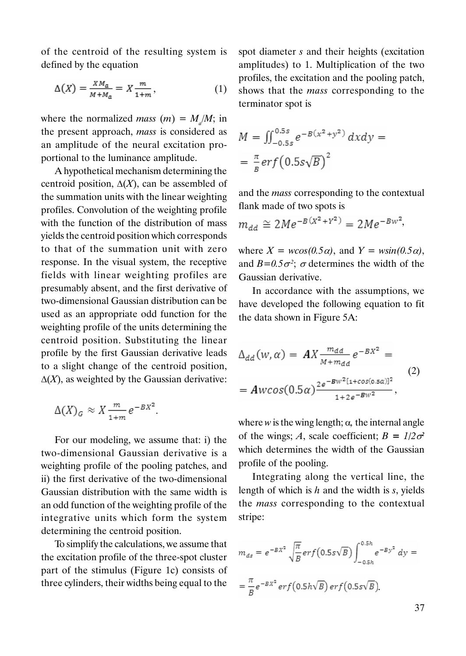of the centroid of the resulting system is defined by the equation

$$
\Delta(X) = \frac{X M_a}{M + M_a} = X \frac{m}{1 + m},\tag{1}
$$

where the normalized *mass*  $(m) = M_a/M$ ; in the present approach, mass is considered as an amplitude of the neural excitation proportional to the luminance amplitude.

A hypothetical mechanism determining the centroid position,  $\Delta(X)$ , can be assembled of the summation units with the linear weighting profiles. Convolution of the weighting profile with the function of the distribution of mass yields the centroid position which corresponds to that of the summation unit with zero response. In the visual system, the receptive fields with linear weighting profiles are presumably absent, and the first derivative of two-dimensional Gaussian distribution can be used as an appropriate odd function for the weighting profile of the units determining the centroid position. Substituting the linear profile by the first Gaussian derivative leads to a slight change of the centroid position,  $\Delta(X)$ , as weighted by the Gaussian derivative:

$$
\Delta(X)_{G} \approx X \frac{m}{1+m} e^{-BX^2}.
$$

For our modeling, we assume that: i) the two-dimensional Gaussian derivative is a weighting profile of the pooling patches, and ii) the first derivative of the two-dimensional Gaussian distribution with the same width is an odd function of the weighting profile of the integrative units which form the system determining the centroid position.

To simplify the calculations, we assume that the excitation profile of the three-spot cluster part of the stimulus (Figure 1c) consists of three cylinders, their widths being equal to the

spot diameter s and their heights (excitation amplitudes) to 1. Multiplication of the two profiles, the excitation and the pooling patch, shows that the mass corresponding to the terminator spot is

$$
M = \iint_{-0.5s}^{0.5s} e^{-B(x^2 + y^2)} dx dy = \frac{\pi}{B} erf (0.5s\sqrt{B})^2
$$

and the mass corresponding to the contextual flank made of two spots is

$$
m_{dd} \cong 2Me^{-B(X^2+Y^2)} = 2Me^{-Bw^2},
$$

where  $X = w\cos(\theta.5\alpha)$ , and  $Y = w\sin(\theta.5\alpha)$ , and  $B=0.5\sigma^2$ ;  $\sigma$  determines the width of the Gaussian derivative.

In accordance with the assumptions, we have developed the following equation to fit the data shown in Figure 5A:

$$
\Delta_{dd}(w, \alpha) = AX \frac{m_{dd}}{M + m_{dd}} e^{-BX^2} =
$$
  
=  $Awcos(0.5\alpha) \frac{2e^{-BW^2[1 + cos(0.5\alpha)]^2}}{1 + 2e^{-BW^2}} ,$  (2)

where  $w$  is the wing length;  $\alpha$ , the internal angle of the wings; A, scale coefficient;  $B = 1/2\sigma^2$ which determines the width of the Gaussian profile of the pooling.

Integrating along the vertical line, the length of which is  $h$  and the width is  $s$ , yields the mass corresponding to the contextual stripe:

$$
m_{ds} = e^{-BX^2} \sqrt{\frac{\pi}{B}} erf(0.5s\sqrt{B}) \int_{-0.5h}^{0.5h} e^{-By^2} dy =
$$
  
=  $\frac{\pi}{B} e^{-BX^2} erf(0.5h\sqrt{B}) erf(0.5s\sqrt{B}).$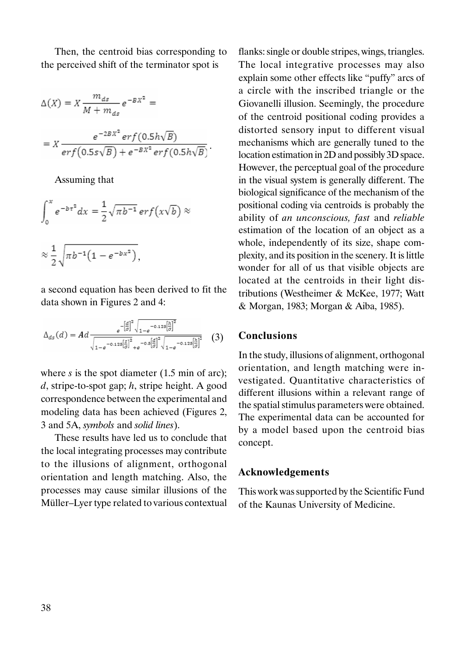Then, the centroid bias corresponding to the perceived shift of the terminator spot is

$$
\Delta(X) = X \frac{m_{ds}}{M + m_{ds}} e^{-BX^2} =
$$
  
= 
$$
X \frac{e^{-2BX^2} erf(0.5h\sqrt{B})}{erf(0.5s\sqrt{B}) + e^{-BX^2} erf(0.5h\sqrt{B})}.
$$

Assuming that

$$
\int_0^x e^{-b\tau^2} dx = \frac{1}{2} \sqrt{\pi b^{-1}} \, erf(x\sqrt{b}) \approx
$$

$$
\approx \frac{1}{2}\sqrt{\pi b^{-1}\left(1-e^{-bx^2}\right)},
$$

a second equation has been derived to fit the data shown in Figures 2 and 4:

$$
\Delta_{ds}(d) = Ad \frac{e^{-\left[\frac{d}{\sigma}\right]^2} \sqrt{1 - e^{-0.125\left[\frac{h}{\sigma}\right]^2}}}{\sqrt{1 - e^{-0.125\left[\frac{S}{\sigma}\right]^2} + e^{-0.5\left[\frac{d}{\sigma}\right]^2} \sqrt{1 - e^{-0.125\left[\frac{h}{\sigma}\right]^2}}}} \quad (3)
$$

where  $s$  is the spot diameter (1.5 min of arc);  $d$ , stripe-to-spot gap;  $h$ , stripe height. A good correspondence between the experimental and modeling data has been achieved (Figures 2, 3 and 5A, symbols and solid lines).

These results have led us to conclude that the local integrating processes may contribute to the illusions of alignment, orthogonal orientation and length matching. Also, the processes may cause similar illusions of the Müller–Lyer type related to various contextual

flanks: single or double stripes, wings, triangles. The local integrative processes may also explain some other effects like "puffy" arcs of a circle with the inscribed triangle or the Giovanelli illusion. Seemingly, the procedure of the centroid positional coding provides a distorted sensory input to different visual mechanisms which are generally tuned to the location estimation in 2D and possibly 3D space. However, the perceptual goal of the procedure in the visual system is generally different. The biological significance of the mechanism of the positional coding via centroids is probably the ability of an unconscious, fast and reliable estimation of the location of an object as a whole, independently of its size, shape complexity, and its position in the scenery. It is little wonder for all of us that visible objects are located at the centroids in their light distributions (Westheimer & McKee, 1977; Watt & Morgan, 1983; Morgan & Aiba, 1985).

# Conclusions

In the study, illusions of alignment, orthogonal orientation, and length matching were investigated. Quantitative characteristics of different illusions within a relevant range of the spatial stimulus parameters were obtained. The experimental data can be accounted for by a model based upon the centroid bias concept.

### Acknowledgements

This work was supported by the Scientific Fund of the Kaunas University of Medicine.